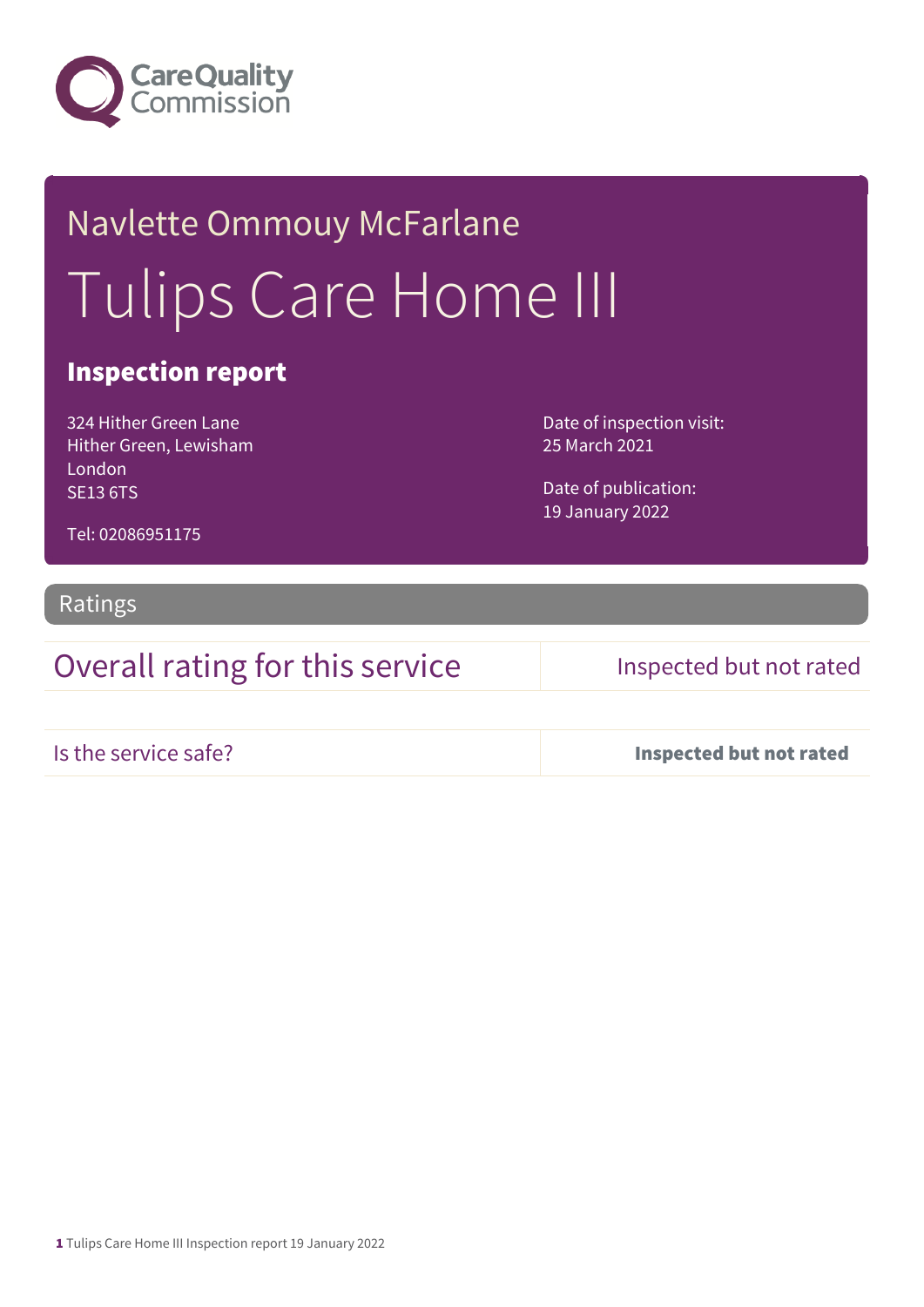

# Navlette Ommouy McFarlane Tulips Care Home III

### Inspection report

324 Hither Green Lane Hither Green, Lewisham London SE13 6TS

Date of inspection visit: 25 March 2021

Date of publication: 19 January 2022

Tel: 02086951175

Ratings

Overall rating for this service Inspected but not rated

Is the service safe? Inspected but not rated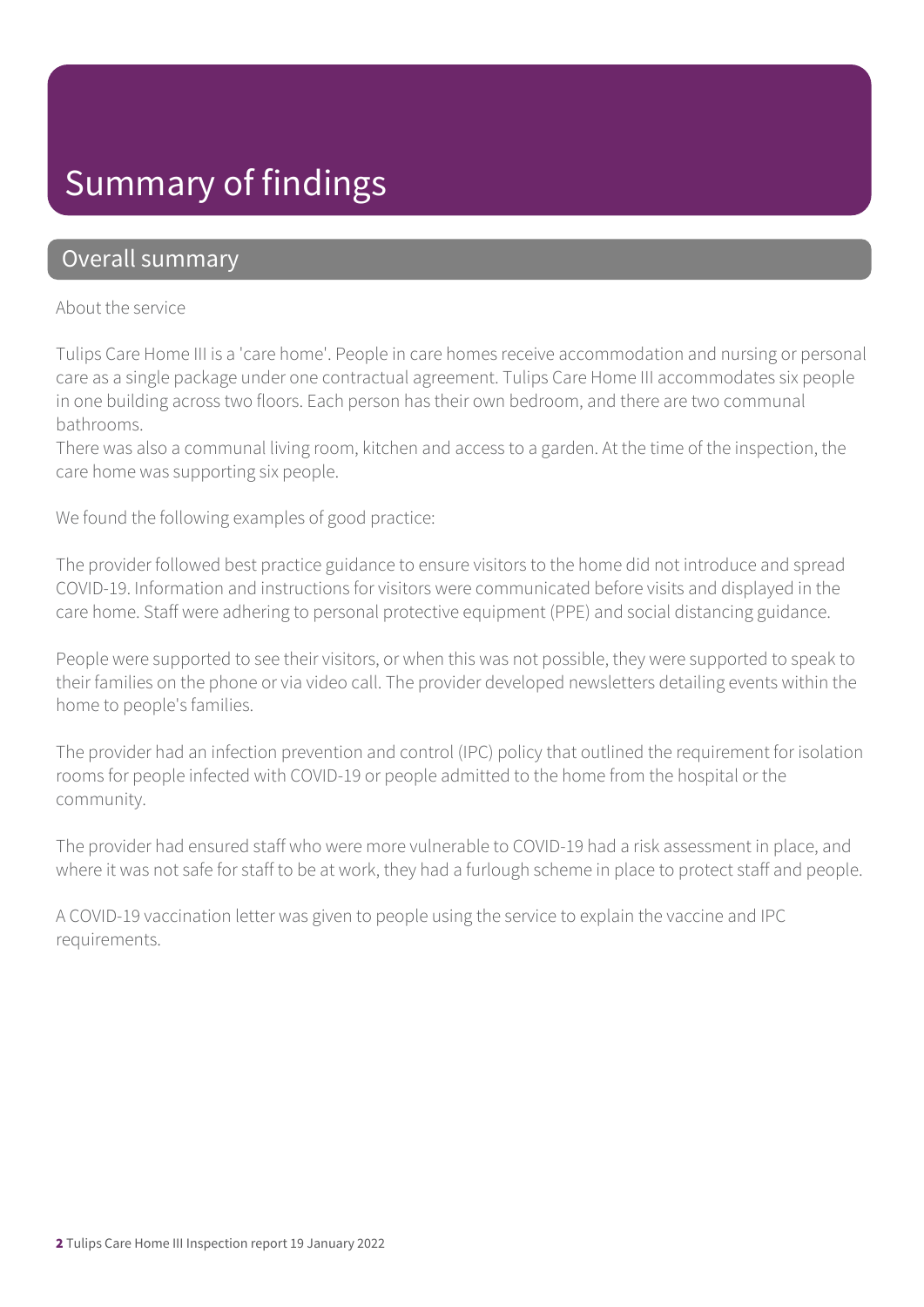## Summary of findings

### Overall summary

### About the service

Tulips Care Home III is a 'care home'. People in care homes receive accommodation and nursing or personal care as a single package under one contractual agreement. Tulips Care Home III accommodates six people in one building across two floors. Each person has their own bedroom, and there are two communal bathrooms.

There was also a communal living room, kitchen and access to a garden. At the time of the inspection, the care home was supporting six people.

We found the following examples of good practice:

The provider followed best practice guidance to ensure visitors to the home did not introduce and spread COVID-19. Information and instructions for visitors were communicated before visits and displayed in the care home. Staff were adhering to personal protective equipment (PPE) and social distancing guidance.

People were supported to see their visitors, or when this was not possible, they were supported to speak to their families on the phone or via video call. The provider developed newsletters detailing events within the home to people's families.

The provider had an infection prevention and control (IPC) policy that outlined the requirement for isolation rooms for people infected with COVID-19 or people admitted to the home from the hospital or the community.

The provider had ensured staff who were more vulnerable to COVID-19 had a risk assessment in place, and where it was not safe for staff to be at work, they had a furlough scheme in place to protect staff and people.

A COVID-19 vaccination letter was given to people using the service to explain the vaccine and IPC requirements.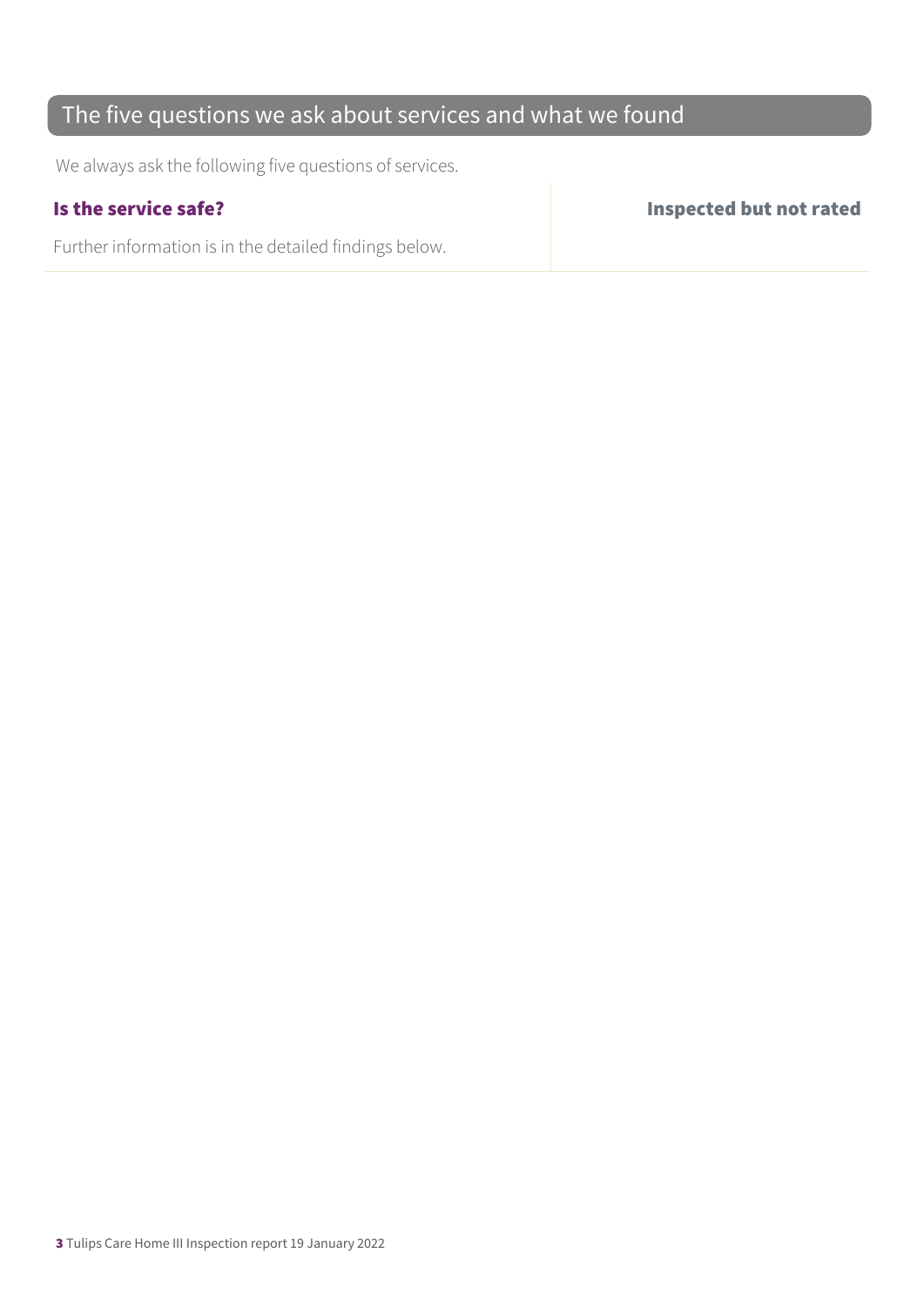### The five questions we ask about services and what we found

We always ask the following five questions of services.

Further information is in the detailed findings below.

Is the service safe? Inspected but not rated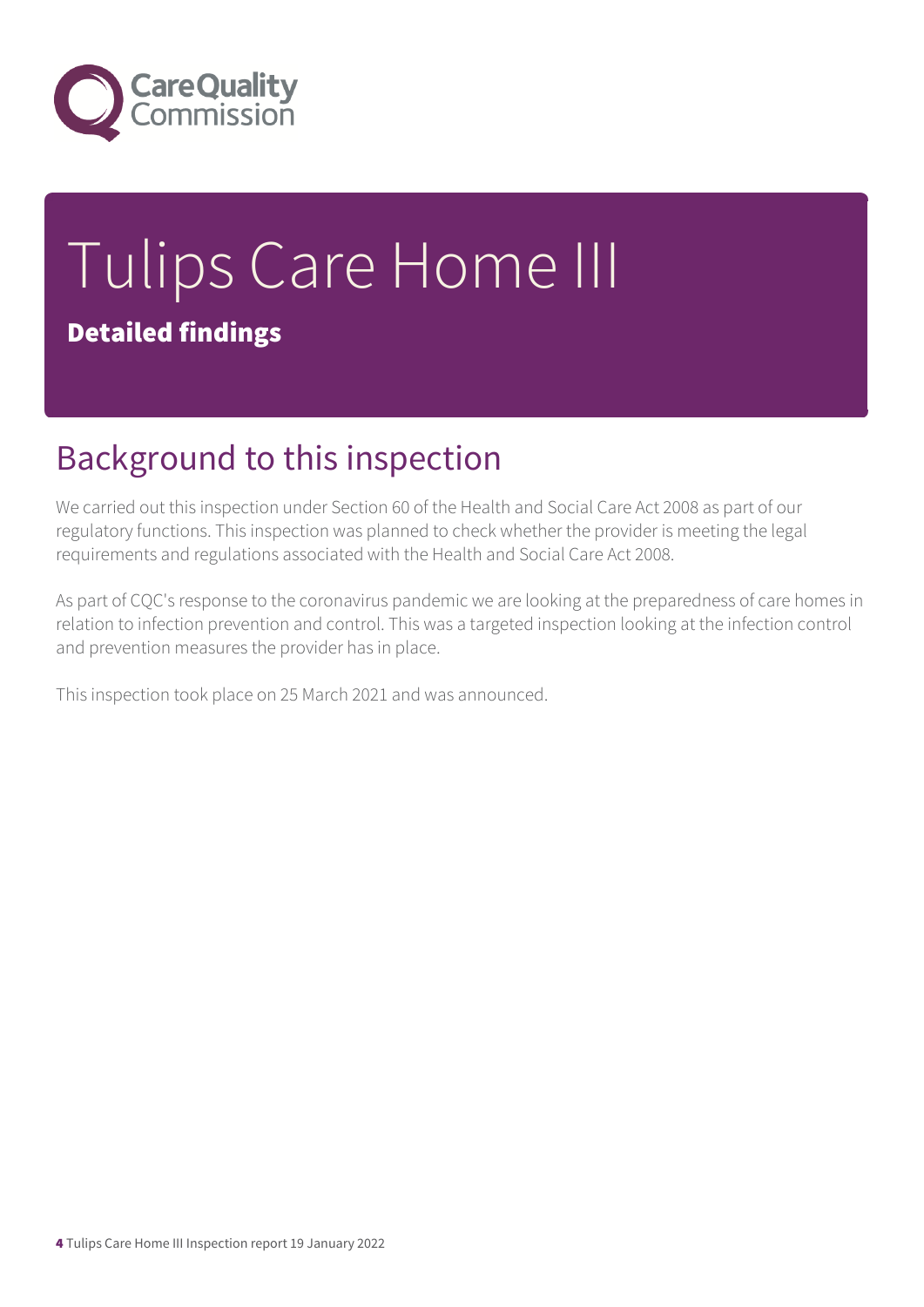

# Tulips Care Home III Detailed findings

## Background to this inspection

We carried out this inspection under Section 60 of the Health and Social Care Act 2008 as part of our regulatory functions. This inspection was planned to check whether the provider is meeting the legal requirements and regulations associated with the Health and Social Care Act 2008.

As part of CQC's response to the coronavirus pandemic we are looking at the preparedness of care homes in relation to infection prevention and control. This was a targeted inspection looking at the infection control and prevention measures the provider has in place.

This inspection took place on 25 March 2021 and was announced.